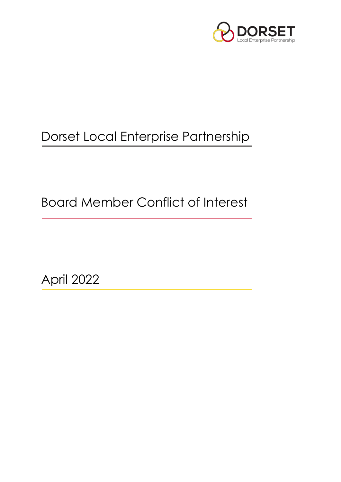

# Dorset Local Enterprise Partnership

Board Member Conflict of Interest

April 2022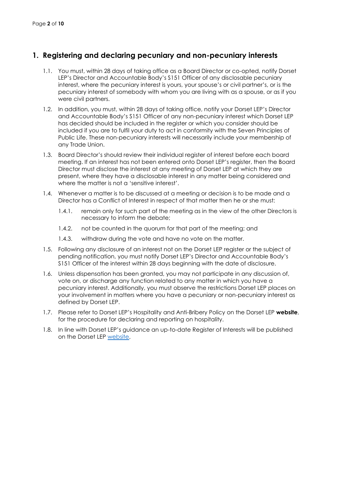# **1. Registering and declaring pecuniary and non-pecuniary interests**

- 1.1. You must, within 28 days of taking office as a Board Director or co-opted, notify Dorset LEP's Director and Accountable Body's S151 Officer of any disclosable pecuniary interest, where the pecuniary interest is yours, your spouse's or civil partner's, or is the pecuniary interest of somebody with whom you are living with as a spouse, or as if you were civil partners.
- 1.2. In addition, you must, within 28 days of taking office, notify your Dorset LEP's Director and Accountable Body's S151 Officer of any non-pecuniary interest which Dorset LEP has decided should be included in the register or which you consider should be included if you are to fulfil your duty to act in conformity with the Seven Principles of Public Life. These non-pecuniary interests will necessarily include your membership of any Trade Union.
- 1.3. Board Director's should review their individual register of interest before each board meeting. If an interest has not been entered onto Dorset LEP's register, then the Board Director must disclose the interest at any meeting of Dorset LEP at which they are present, where they have a disclosable interest in any matter being considered and where the matter is not a 'sensitive interest'.
- 1.4. Whenever a matter is to be discussed at a meeting or decision is to be made and a Director has a Conflict of Interest in respect of that matter then he or she must:
	- 1.4.1. remain only for such part of the meeting as in the view of the other Directors is necessary to inform the debate;
	- 1.4.2. not be counted in the quorum for that part of the meeting; and
	- 1.4.3. withdraw during the vote and have no vote on the matter.
- 1.5. Following any disclosure of an interest not on the Dorset LEP register or the subject of pending notification, you must notify Dorset LEP's Director and Accountable Body's S151 Officer of the interest within 28 days beginning with the date of disclosure.
- 1.6. Unless dispensation has been granted, you may not participate in any discussion of, vote on, or discharge any function related to any matter in which you have a pecuniary interest. Additionally, you must observe the restrictions Dorset LEP places on your involvement in matters where you have a pecuniary or non-pecuniary interest as defined by Dorset LEP.
- 1.7. Please refer to Dorset LEP's Hospitality and Anti-Bribery Policy on the Dorset LEP **website**, for the procedure for declaring and reporting on hospitality.
- 1.8. In line with Dorset LEP's guidance an up-to-date Register of Interests will be published on the Dorset LEP [website.](http://dorsetlep.co.uk/governance/policies-and-procedures/)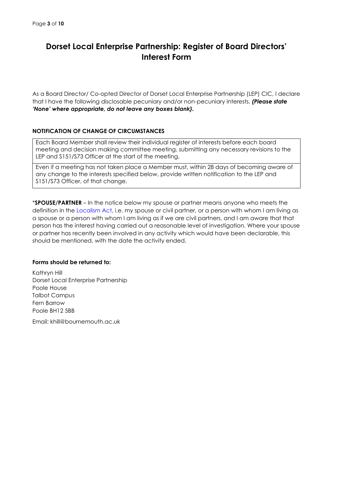# **Dorset Local Enterprise Partnership: Register of Board Directors' Interest Form**

As a Board Director/ Co-opted Director of Dorset Local Enterprise Partnership (LEP) CIC, I declare that I have the following disclosable pecuniary and/or non-pecuniary interests. *(Please state 'None' where appropriate, do not leave any boxes blank).*

## **NOTIFICATION OF CHANGE OF CIRCUMSTANCES**

Each Board Member shall review their individual register of interests before each board meeting and decision making committee meeting, submitting any necessary revisions to the LEP and S151/S73 Officer at the start of the meeting.

Even if a meeting has not taken place a Member must, within 28 days of becoming aware of any change to the interests specified below, provide written notification to the LEP and S151/S73 Officer, of that change.

\***SPOUSE/PARTNER** – In the notice below my spouse or partner means anyone who meets the definition in the Localism Act, i.e. my spouse or civil partner, or a person with whom I am living as a spouse or a person with whom I am living as if we are civil partners, and I am aware that that person has the interest having carried out a reasonable level of investigation. Where your spouse or partner has recently been involved in any activity which would have been declarable, this should be mentioned, with the date the activity ended.

#### **Forms should be returned to:**

Kathryn Hill Dorset Local Enterprise Partnership Poole House Talbot Campus Fern Barrow Poole BH12 5BB

Email: khill@bournemouth.ac.uk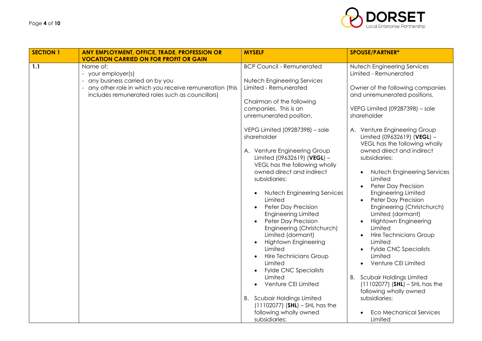

| <b>SECTION 1</b> | <b>ANY EMPLOYMENT, OFFICE, TRADE, PROFESSION OR</b>                                                                                                                                                                            | <b>MYSELF</b>                                                                                                                                                                                                                                                                                                                                                                                                                                                                                                                                                                                                                                                                                                                                                                                                                         | <b>SPOUSE/PARTNER*</b>                                                                                                                                                                                                                                                                                                                                                                                                                                                                                                                                                                                                                                                                                                                                                                                                                                             |
|------------------|--------------------------------------------------------------------------------------------------------------------------------------------------------------------------------------------------------------------------------|---------------------------------------------------------------------------------------------------------------------------------------------------------------------------------------------------------------------------------------------------------------------------------------------------------------------------------------------------------------------------------------------------------------------------------------------------------------------------------------------------------------------------------------------------------------------------------------------------------------------------------------------------------------------------------------------------------------------------------------------------------------------------------------------------------------------------------------|--------------------------------------------------------------------------------------------------------------------------------------------------------------------------------------------------------------------------------------------------------------------------------------------------------------------------------------------------------------------------------------------------------------------------------------------------------------------------------------------------------------------------------------------------------------------------------------------------------------------------------------------------------------------------------------------------------------------------------------------------------------------------------------------------------------------------------------------------------------------|
| 1.1              | <b>VOCATION CARRIED ON FOR PROFIT OR GAIN</b><br>Name of:<br>- your employer(s)<br>any business carried on by you<br>any other role in which you receive remuneration (this<br>includes remunerated roles such as councillors) | <b>BCP Council - Remunerated</b><br><b>Nutech Engineering Services</b><br>Limited - Remunerated<br>Chairman of the following<br>companies. This is an<br>unremunerated position.<br>VEPG Limited (09287398) - sole<br>shareholder<br>A. Venture Engineering Group<br>Limited (09632619) (VEGL) -<br>VEGL has the following wholly<br>owned direct and indirect<br>subsidiaries:<br><b>Nutech Engineering Services</b><br>Limited<br>Peter Day Precision<br><b>Engineering Limited</b><br>Peter Day Precision<br>Engineering (Christchurch)<br>Limited (dormant)<br><b>Hightown Engineering</b><br>Limited<br>Hire Technicians Group<br>Limited<br><b>Fylde CNC Specialists</b><br>Limited<br>Venture CEI Limited<br><b>B.</b> Scubair Holdings Limited<br>$(11102077)$ (SHL) – SHL has the<br>following wholly owned<br>subsidiaries: | <b>Nutech Engineering Services</b><br>Limited - Remunerated<br>Owner of the following companies<br>and unremunerated positions.<br>VEPG Limited (09287398) - sole<br>shareholder<br>A. Venture Engineering Group<br>Limited (09632619) (VEGL) -<br>VEGL has the following wholly<br>owned direct and indirect<br>subsidiaries:<br><b>Nutech Engineering Services</b><br>Limited<br><b>Peter Day Precision</b><br>$\bullet$<br><b>Engineering Limited</b><br>Peter Day Precision<br>$\bullet$<br>Engineering (Christchurch)<br>Limited (dormant)<br><b>Hightown Engineering</b><br>Limited<br>Hire Technicians Group<br>Limited<br><b>Fylde CNC Specialists</b><br>Limited<br>Venture CEI Limited<br><b>B.</b> Scubair Holdings Limited<br>$(11102077)$ (SHL) - SHL has the<br>following wholly owned<br>subsidiaries:<br><b>Eco Mechanical Services</b><br>Limited |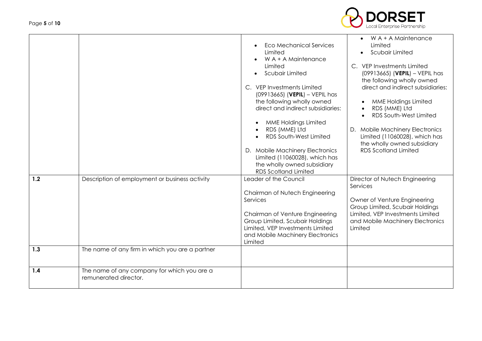

|     |                                                                      | <b>Eco Mechanical Services</b><br><b>Limited</b><br>$W A + A$ Maintenance                                                                             | W A + A Maintenance<br>Limited<br>Scubair Limited                                               |
|-----|----------------------------------------------------------------------|-------------------------------------------------------------------------------------------------------------------------------------------------------|-------------------------------------------------------------------------------------------------|
|     |                                                                      | Limited<br>Scubair Limited                                                                                                                            | C. VEP Investments Limited<br>$(09913665)$ (VEPIL) - VEPIL has<br>the following wholly owned    |
|     |                                                                      | C. VEP Investments Limited<br>$(09913665)$ (VEPIL) – VEPIL has<br>the following wholly owned                                                          | direct and indirect subsidiaries:<br><b>MME Holdings Limited</b>                                |
|     |                                                                      | direct and indirect subsidiaries:                                                                                                                     | RDS (MME) Ltd<br>RDS South-West Limited                                                         |
|     |                                                                      | <b>MME Holdings Limited</b><br>RDS (MME) Ltd<br>RDS South-West Limited                                                                                | D. Mobile Machinery Electronics<br>Limited (11060028), which has<br>the wholly owned subsidiary |
|     |                                                                      | D. Mobile Machinery Electronics<br>Limited (11060028), which has<br>the wholly owned subsidiary<br><b>RDS Scotland Limited</b>                        | <b>RDS Scotland Limited</b>                                                                     |
| 1.2 | Description of employment or business activity                       | Leader of the Council                                                                                                                                 | Director of Nutech Engineering<br>Services                                                      |
|     |                                                                      | Chairman of Nutech Engineering<br>Services                                                                                                            | Owner of Venture Engineering<br>Group Limited, Scubair Holdings                                 |
|     |                                                                      | Chairman of Venture Engineering<br>Group Limited, Scubair Holdings<br>Limited, VEP Investments Limited<br>and Mobile Machinery Electronics<br>Limited | Limited, VEP Investments Limited<br>and Mobile Machinery Electronics<br>Limited                 |
| 1.3 | The name of any firm in which you are a partner                      |                                                                                                                                                       |                                                                                                 |
| 1.4 | The name of any company for which you are a<br>remunerated director. |                                                                                                                                                       |                                                                                                 |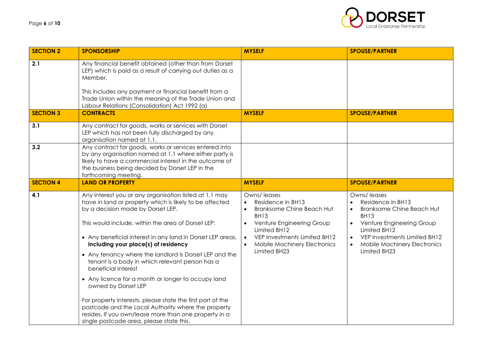

| <b>SECTION 2</b> | <b>SPONSORSHIP</b>                                                                                                                                                                                                                                                                                                                                                                                                                                                                                                                                                                                                                                                                                                                                            | <b>MYSELF</b>                                                                                                                                                                                                                                                                            | <b>SPOUSE/PARTNER</b>                                                                                                                                                                                                                             |
|------------------|---------------------------------------------------------------------------------------------------------------------------------------------------------------------------------------------------------------------------------------------------------------------------------------------------------------------------------------------------------------------------------------------------------------------------------------------------------------------------------------------------------------------------------------------------------------------------------------------------------------------------------------------------------------------------------------------------------------------------------------------------------------|------------------------------------------------------------------------------------------------------------------------------------------------------------------------------------------------------------------------------------------------------------------------------------------|---------------------------------------------------------------------------------------------------------------------------------------------------------------------------------------------------------------------------------------------------|
| 2.1              | Any financial benefit obtained (other than from Dorset<br>LEP) which is paid as a result of carrying out duties as a<br>Member.<br>This includes any payment or financial benefit from a<br>Trade Union within the meaning of the Trade Union and<br>Labour Relations (Consolidation) Act 1992 (a)                                                                                                                                                                                                                                                                                                                                                                                                                                                            |                                                                                                                                                                                                                                                                                          |                                                                                                                                                                                                                                                   |
| <b>SECTION 3</b> | <b>CONTRACTS</b>                                                                                                                                                                                                                                                                                                                                                                                                                                                                                                                                                                                                                                                                                                                                              | <b>MYSELF</b>                                                                                                                                                                                                                                                                            | <b>SPOUSE/PARTNER</b>                                                                                                                                                                                                                             |
| 3.1              | Any contract for goods, works or services with Dorset<br>LEP which has not been fully discharged by any<br>organisation named at 1.1.                                                                                                                                                                                                                                                                                                                                                                                                                                                                                                                                                                                                                         |                                                                                                                                                                                                                                                                                          |                                                                                                                                                                                                                                                   |
| 3.2              | Any contract for goods, works or services entered into<br>by any organisation named at 1.1 where either party is<br>likely to have a commercial interest in the outcome of<br>the business being decided by Dorset LEP in the<br>forthcoming meeting.                                                                                                                                                                                                                                                                                                                                                                                                                                                                                                         |                                                                                                                                                                                                                                                                                          |                                                                                                                                                                                                                                                   |
| <b>SECTION 4</b> | <b>LAND OR PROPERTY</b>                                                                                                                                                                                                                                                                                                                                                                                                                                                                                                                                                                                                                                                                                                                                       | <b>MYSELF</b>                                                                                                                                                                                                                                                                            | <b>SPOUSE/PARTNER</b>                                                                                                                                                                                                                             |
| 4.1              | Any interest you or any organisation listed at 1.1 may<br>have in land or property which is likely to be affected<br>by a decision made by Dorset LEP.<br>This would include, within the area of Dorset LEP:<br>• Any beneficial interest in any land in Dorset LEP areas,<br>including your place(s) of residency<br>• Any tenancy where the landlord is Dorset LEP and the<br>tenant is a body in which relevant person has a<br>beneficial interest<br>• Any licence for a month or longer to occupy land<br>owned by Dorset LEP<br>For property interests, please state the first part of the<br>postcode and the Local Authority where the property<br>resides. If you own/lease more than one property in a<br>single postcode area, please state this. | Owns/leases<br>Residence in BH13<br>$\bullet$<br><b>Branksome Chine Beach Hut</b><br>$\bullet$<br><b>BH13</b><br>Venture Engineering Group<br>$\bullet$<br>Limited BH12<br>VEP Investments Limited BH12<br>$\bullet$<br><b>Mobile Machinery Electronics</b><br>$\bullet$<br>Limited BH23 | Owns/leases<br>Residence in BH13<br><b>Branksome Chine Beach Hut</b><br>$\bullet$<br><b>BH13</b><br>Venture Engineering Group<br>$\bullet$<br>Limited BH12<br>VEP Investments Limited BH12<br><b>Mobile Machinery Electronics</b><br>Limited BH23 |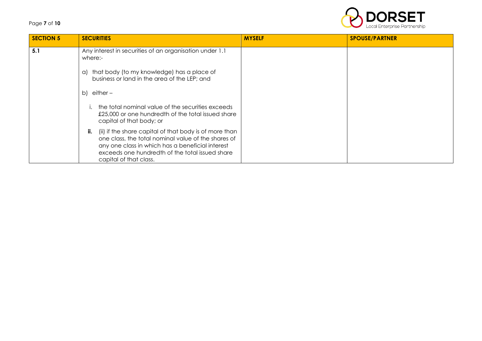# Page **7** of **10**



| <b>SECTION 5</b> | <b>SECURITIES</b>                                                                                                                                                                                                                                     | <b>MYSELF</b> | <b>SPOUSE/PARTNER</b> |
|------------------|-------------------------------------------------------------------------------------------------------------------------------------------------------------------------------------------------------------------------------------------------------|---------------|-----------------------|
| 5.1              | Any interest in securities of an organisation under 1.1<br>where:-                                                                                                                                                                                    |               |                       |
|                  | that body (to my knowledge) has a place of<br>a)<br>business or land in the area of the LEP; and                                                                                                                                                      |               |                       |
|                  | b) either $-$                                                                                                                                                                                                                                         |               |                       |
|                  | the total nominal value of the securities exceeds<br>£25,000 or one hundredth of the total issued share<br>capital of that body; or                                                                                                                   |               |                       |
|                  | (ii) if the share capital of that body is of more than<br>ii.<br>one class, the total nominal value of the shares of<br>any one class in which has a beneficial interest<br>exceeds one hundredth of the total issued share<br>capital of that class. |               |                       |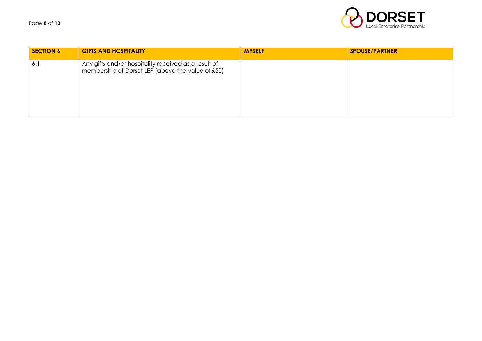Page **8** of **10**



| <b>SECTION 6</b> | <b>GIFTS AND HOSPITALITY</b>                                                                              | <b>MYSELF</b> | <b>SPOUSE/PARTNER</b> |
|------------------|-----------------------------------------------------------------------------------------------------------|---------------|-----------------------|
| 6.1              | Any gifts and/or hospitality received as a result of<br>membership of Dorset LEP (above the value of £50) |               |                       |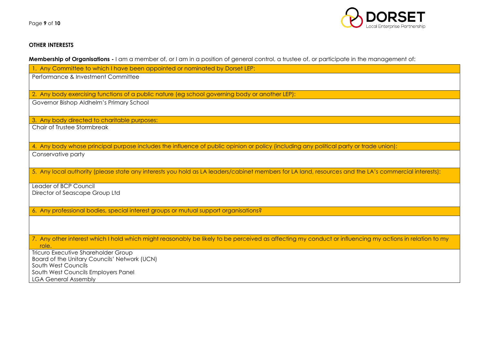

# **OTHER INTERESTS**

**Membership of Organisations -** I am a member of, or I am in a position of general control, a trustee of, or participate in the management of:

| 1. Any Committee to which I have been appointed or nominated by Dorset LEP:                                                                             |
|---------------------------------------------------------------------------------------------------------------------------------------------------------|
| Performance & Investment Committee                                                                                                                      |
|                                                                                                                                                         |
| 2. Any body exercising functions of a public nature (eg school governing body or another LEP):                                                          |
| Governor Bishop Aldhelm's Primary School                                                                                                                |
|                                                                                                                                                         |
| 3. Any body directed to charitable purposes:                                                                                                            |
| Chair of Trustee Stormbreak                                                                                                                             |
|                                                                                                                                                         |
| 4. Any body whose principal purpose includes the influence of public opinion or policy (including any political party or trade union):                  |
| Conservative party                                                                                                                                      |
|                                                                                                                                                         |
| 5. Any local authority (please state any interests you hold as LA leaders/cabinet members for LA land, resources and the LA's commercial interests):    |
|                                                                                                                                                         |
| Leader of BCP Council                                                                                                                                   |
| Director of Seascape Group Ltd                                                                                                                          |
|                                                                                                                                                         |
| 6. Any professional bodies, special interest groups or mutual support organisations?                                                                    |
|                                                                                                                                                         |
|                                                                                                                                                         |
| 7. Any other interest which I hold which might reasonably be likely to be perceived as affecting my conduct or influencing my actions in relation to my |
| role.                                                                                                                                                   |
| Tricuro Executive Shareholder Group<br>Board of the Unitary Councils' Network (UCN)                                                                     |
| South West Councils                                                                                                                                     |
| South West Councils Employers Panel                                                                                                                     |
| <b>LGA General Assembly</b>                                                                                                                             |